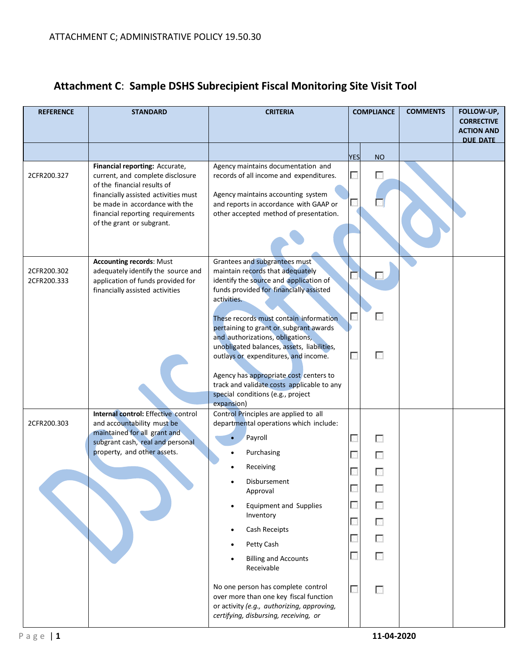| <b>YES</b><br><b>NO</b><br>Financial reporting: Accurate,<br>Agency maintains documentation and<br>Г<br>current, and complete disclosure<br>records of all income and expenditures.<br>П<br>2CFR200.327<br>of the financial results of<br>Agency maintains accounting system<br>financially assisted activities must<br>and reports in accordance with GAAP or<br>be made in accordance with the<br>financial reporting requirements<br>other accepted method of presentation.<br>of the grant or subgrant.<br><b>Accounting records: Must</b><br>Grantees and subgrantees must<br>2CFR200.302<br>adequately identify the source and<br>maintain records that adequately<br>identify the source and application of<br>application of funds provided for<br>2CFR200.333<br>funds provided for financially assisted<br>financially assisted activities<br>activities.<br>г<br>These records must contain information<br>pertaining to grant or subgrant awards<br>and authorizations, obligations,<br>unobligated balances, assets, liabilities,<br>П<br>П<br>outlays or expenditures, and income.<br>Agency has appropriate cost centers to<br>track and validate costs applicable to any<br>special conditions (e.g., project<br>expansion)<br>Control Principles are applied to all<br>Internal control: Effective control<br>and accountability must be<br>departmental operations which include:<br>2CFR200.303<br>maintained for all grant and<br>Payroll<br>г<br>г<br>subgrant cash, real and personal<br>property, and other assets.<br>Purchasing<br>Receiving<br>Disbursement<br>b.<br>Approval<br>г<br>г<br><b>Equipment and Supplies</b><br>Inventory<br>Г<br>Cash Receipts<br>П<br>Petty Cash<br>$\overline{\phantom{a}}$<br><b>Billing and Accounts</b><br>Receivable<br>No one person has complete control<br>П<br>over more than one key fiscal function<br>or activity (e.g., authorizing, approving,<br>certifying, disbursing, receiving, or | <b>REFERENCE</b> | <b>STANDARD</b> | <b>CRITERIA</b> | <b>COMPLIANCE</b> | <b>COMMENTS</b> | FOLLOW-UP,<br><b>CORRECTIVE</b><br><b>ACTION AND</b><br>DUE DATE |
|---------------------------------------------------------------------------------------------------------------------------------------------------------------------------------------------------------------------------------------------------------------------------------------------------------------------------------------------------------------------------------------------------------------------------------------------------------------------------------------------------------------------------------------------------------------------------------------------------------------------------------------------------------------------------------------------------------------------------------------------------------------------------------------------------------------------------------------------------------------------------------------------------------------------------------------------------------------------------------------------------------------------------------------------------------------------------------------------------------------------------------------------------------------------------------------------------------------------------------------------------------------------------------------------------------------------------------------------------------------------------------------------------------------------------------------------------------------------------------------------------------------------------------------------------------------------------------------------------------------------------------------------------------------------------------------------------------------------------------------------------------------------------------------------------------------------------------------------------------------------------------------------------------------------------------------------------------------|------------------|-----------------|-----------------|-------------------|-----------------|------------------------------------------------------------------|
|                                                                                                                                                                                                                                                                                                                                                                                                                                                                                                                                                                                                                                                                                                                                                                                                                                                                                                                                                                                                                                                                                                                                                                                                                                                                                                                                                                                                                                                                                                                                                                                                                                                                                                                                                                                                                                                                                                                                                               |                  |                 |                 |                   |                 |                                                                  |
|                                                                                                                                                                                                                                                                                                                                                                                                                                                                                                                                                                                                                                                                                                                                                                                                                                                                                                                                                                                                                                                                                                                                                                                                                                                                                                                                                                                                                                                                                                                                                                                                                                                                                                                                                                                                                                                                                                                                                               |                  |                 |                 |                   |                 |                                                                  |
|                                                                                                                                                                                                                                                                                                                                                                                                                                                                                                                                                                                                                                                                                                                                                                                                                                                                                                                                                                                                                                                                                                                                                                                                                                                                                                                                                                                                                                                                                                                                                                                                                                                                                                                                                                                                                                                                                                                                                               |                  |                 |                 |                   |                 |                                                                  |
|                                                                                                                                                                                                                                                                                                                                                                                                                                                                                                                                                                                                                                                                                                                                                                                                                                                                                                                                                                                                                                                                                                                                                                                                                                                                                                                                                                                                                                                                                                                                                                                                                                                                                                                                                                                                                                                                                                                                                               |                  |                 |                 |                   |                 |                                                                  |

# **Attachment C**: **Sample DSHS Subrecipient Fiscal Monitoring Site Visit Tool**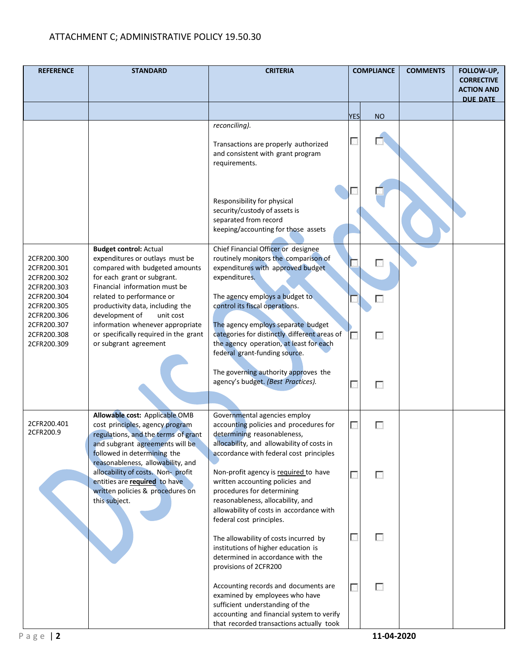| <b>REFERENCE</b>                                                                                      | <b>STANDARD</b>                                                                                                                                                                                                                                                    | <b>CRITERIA</b>                                                                                                                                                                                                                              |            | <b>COMPLIANCE</b> | <b>COMMENTS</b> | FOLLOW-UP,<br><b>CORRECTIVE</b><br><b>ACTION AND</b><br><b>DUE DATE</b> |
|-------------------------------------------------------------------------------------------------------|--------------------------------------------------------------------------------------------------------------------------------------------------------------------------------------------------------------------------------------------------------------------|----------------------------------------------------------------------------------------------------------------------------------------------------------------------------------------------------------------------------------------------|------------|-------------------|-----------------|-------------------------------------------------------------------------|
|                                                                                                       |                                                                                                                                                                                                                                                                    |                                                                                                                                                                                                                                              | <b>YES</b> | <b>NO</b>         |                 |                                                                         |
|                                                                                                       |                                                                                                                                                                                                                                                                    | reconciling).<br>Transactions are properly authorized<br>and consistent with grant program<br>requirements.                                                                                                                                  | г          |                   |                 |                                                                         |
|                                                                                                       |                                                                                                                                                                                                                                                                    | Responsibility for physical<br>security/custody of assets is<br>separated from record<br>keeping/accounting for those assets                                                                                                                 |            |                   |                 |                                                                         |
| 2CFR200.300<br>2CFR200.301<br>2CFR200.302<br>2CFR200.303<br>2CFR200.304<br>2CFR200.305<br>2CFR200.306 | <b>Budget control: Actual</b><br>expenditures or outlays must be<br>compared with budgeted amounts<br>for each grant or subgrant.<br>Financial information must be<br>related to performance or<br>productivity data, including the<br>development of<br>unit cost | Chief Financial Officer or designee<br>routinely monitors the comparison of<br>expenditures with approved budget<br>expenditures.<br>The agency employs a budget to<br>control its fiscal operations.                                        |            | ×                 |                 |                                                                         |
| 2CFR200.307<br>2CFR200.308<br>2CFR200.309                                                             | information whenever appropriate<br>or specifically required in the grant<br>or subgrant agreement                                                                                                                                                                 | The agency employs separate budget<br>categories for distinctly different areas of<br>the agency operation, at least for each<br>federal grant-funding source.<br>The governing authority approves the<br>agency's budget. (Best Practices). |            | г<br>г            |                 |                                                                         |
| 2CFR200.401                                                                                           | Allowable cost: Applicable OMB<br>cost principles, agency program                                                                                                                                                                                                  | Governmental agencies employ<br>accounting policies and procedures for                                                                                                                                                                       |            | г                 |                 |                                                                         |
| 2CFR200.9                                                                                             | regulations, and the terms of grant<br>and subgrant agreements will be<br>followed in determining the<br>reasonableness, allowability, and                                                                                                                         | determining reasonableness,<br>allocability, and allowability of costs in<br>accordance with federal cost principles                                                                                                                         |            |                   |                 |                                                                         |
|                                                                                                       | allocability of costs. Non- profit<br>entities are required to have<br>written policies & procedures on<br>this subject.                                                                                                                                           | Non-profit agency is required to have<br>written accounting policies and<br>procedures for determining<br>reasonableness, allocability, and<br>allowability of costs in accordance with<br>federal cost principles.                          |            | п                 |                 |                                                                         |
|                                                                                                       |                                                                                                                                                                                                                                                                    | The allowability of costs incurred by<br>institutions of higher education is<br>determined in accordance with the<br>provisions of 2CFR200                                                                                                   |            | г                 |                 |                                                                         |
| Page $ 2$                                                                                             |                                                                                                                                                                                                                                                                    | Accounting records and documents are<br>examined by employees who have<br>sufficient understanding of the<br>accounting and financial system to verify<br>that recorded transactions actually took                                           |            | г<br>11-04-2020   |                 |                                                                         |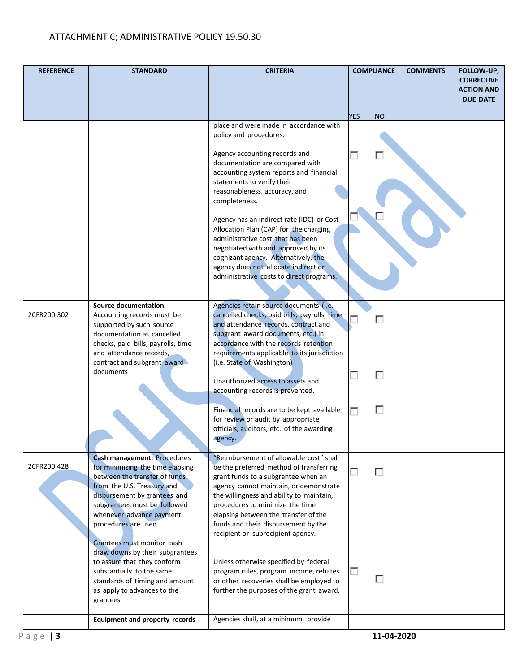| <b>REFERENCE</b> | <b>STANDARD</b>                                                                                                                                                                                                                                                                                                                                                                                                                                                     | <b>CRITERIA</b>                                                                                                                                                                                                                                                                                                                                                                                                                                                                                                                                                | <b>COMPLIANCE</b> |             | <b>COMMENTS</b> | FOLLOW-UP,<br><b>CORRECTIVE</b><br><b>ACTION AND</b><br><b>DUE DATE</b> |
|------------------|---------------------------------------------------------------------------------------------------------------------------------------------------------------------------------------------------------------------------------------------------------------------------------------------------------------------------------------------------------------------------------------------------------------------------------------------------------------------|----------------------------------------------------------------------------------------------------------------------------------------------------------------------------------------------------------------------------------------------------------------------------------------------------------------------------------------------------------------------------------------------------------------------------------------------------------------------------------------------------------------------------------------------------------------|-------------------|-------------|-----------------|-------------------------------------------------------------------------|
|                  |                                                                                                                                                                                                                                                                                                                                                                                                                                                                     |                                                                                                                                                                                                                                                                                                                                                                                                                                                                                                                                                                | <b>YES</b>        | <b>NO</b>   |                 |                                                                         |
|                  |                                                                                                                                                                                                                                                                                                                                                                                                                                                                     | place and were made in accordance with<br>policy and procedures.<br>Agency accounting records and<br>documentation are compared with<br>accounting system reports and financial<br>statements to verify their<br>reasonableness, accuracy, and<br>completeness.<br>Agency has an indirect rate (IDC) or Cost<br>Allocation Plan (CAP) for the charging<br>administrative cost that has been<br>negotiated with and approved by its<br>cognizant agency. Alternatively, the<br>agency does not allocate indirect or<br>administrative costs to direct programs. |                   | F.          |                 |                                                                         |
| 2CFR200.302      | <b>Source documentation:</b><br>Accounting records must be<br>supported by such source<br>documentation as cancelled<br>checks, paid bills, payrolls, time<br>and attendance records,<br>contract and subgrant award<br>documents                                                                                                                                                                                                                                   | Agencies retain source documents (i.e.<br>cancelled checks, paid bills, payrolls, time<br>and attendance records, contract and<br>subgrant award documents, etc.) in<br>accordance with the records retention<br>requirements applicable to its jurisdiction<br>(i.e. State of Washington)<br>Unauthorized access to assets and<br>accounting records is prevented.<br>Financial records are to be kept available<br>for review or audit by appropriate<br>officials, auditors, etc. of the awarding<br>agency.                                                |                   | г<br>г<br>Г |                 |                                                                         |
| 2CFR200.428      | <b>Cash management: Procedures</b><br>for minimizing the time elapsing<br>between the transfer of funds<br>from the U.S. Treasury and<br>disbursement by grantees and<br>subgrantees must be followed<br>whenever advance payment<br>procedures are used.<br>Grantees must monitor cash<br>draw downs by their subgrantees<br>to assure that they conform<br>substantially to the same<br>standards of timing and amount<br>as apply to advances to the<br>grantees | "Reimbursement of allowable cost" shall<br>be the preferred method of transferring<br>grant funds to a subgrantee when an<br>agency cannot maintain, or demonstrate<br>the willingness and ability to maintain,<br>procedures to minimize the time<br>elapsing between the transfer of the<br>funds and their disbursement by the<br>recipient or subrecipient agency.<br>Unless otherwise specified by federal<br>program rules, program income, rebates<br>or other recoveries shall be employed to<br>further the purposes of the grant award.              |                   | г<br>г      |                 |                                                                         |
| Page $ 3$        | <b>Equipment and property records</b>                                                                                                                                                                                                                                                                                                                                                                                                                               | Agencies shall, at a minimum, provide                                                                                                                                                                                                                                                                                                                                                                                                                                                                                                                          |                   | 11-04-2020  |                 |                                                                         |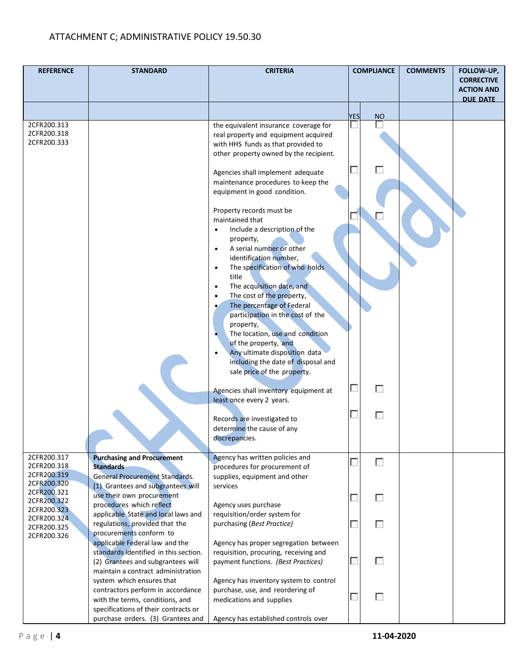| <b>REFERENCE</b>                                         | <b>STANDARD</b>                                                                                                                                    | <b>CRITERIA</b>                                                                                                                                                | <b>COMPLIANCE</b> | <b>COMMENTS</b> | FOLLOW-UP,<br><b>CORRECTIVE</b><br><b>ACTION AND</b><br><b>DUE DATE</b> |
|----------------------------------------------------------|----------------------------------------------------------------------------------------------------------------------------------------------------|----------------------------------------------------------------------------------------------------------------------------------------------------------------|-------------------|-----------------|-------------------------------------------------------------------------|
|                                                          |                                                                                                                                                    |                                                                                                                                                                | <b>YES</b><br>NO  |                 |                                                                         |
| 2CFR200.313<br>2CFR200.318<br>2CFR200.333                |                                                                                                                                                    | the equivalent insurance coverage for<br>real property and equipment acquired<br>with HHS funds as that provided to<br>other property owned by the recipient.  | г                 |                 |                                                                         |
|                                                          |                                                                                                                                                    | Agencies shall implement adequate<br>maintenance procedures to keep the<br>equipment in good condition.                                                        |                   |                 |                                                                         |
|                                                          |                                                                                                                                                    | Property records must be<br>maintained that<br>Include a description of the<br>$\bullet$<br>property,                                                          |                   |                 |                                                                         |
|                                                          |                                                                                                                                                    | A serial number or other<br>$\bullet$<br>identification number,<br>The specification of who holds<br>$\bullet$<br>title                                        |                   |                 |                                                                         |
|                                                          |                                                                                                                                                    | The acquisition date, and<br>$\bullet$<br>The cost of the property,<br>$\bullet$<br>The percentage of Federal<br>participation in the cost of the<br>property, |                   |                 |                                                                         |
|                                                          |                                                                                                                                                    | The location, use and condition<br>of the property, and<br>Any ultimate disposition data<br>including the date of disposal and<br>sale price of the property.  |                   |                 |                                                                         |
|                                                          |                                                                                                                                                    | Agencies shall inventory equipment at<br>least once every 2 years.                                                                                             | г                 |                 |                                                                         |
|                                                          |                                                                                                                                                    | Records are investigated to<br>determine the cause of any<br>discrepancies.                                                                                    | г                 |                 |                                                                         |
| 2CFR200.317<br>2CFR200.318<br>2CFR200.319<br>2CFR200.320 | <b>Purchasing and Procurement</b><br><b>Standards</b><br><b>General Procurement Standards.</b><br>(1) Grantees and subgrantees will                | Agency has written policies and<br>procedures for procurement of<br>supplies, equipment and other<br>services                                                  | ┍                 |                 |                                                                         |
| 2CFR200.321<br>2CFR200.322<br>2CFR200.323                | use their own procurement<br>procedures which reflect                                                                                              | Agency uses purchase                                                                                                                                           | ┍                 |                 |                                                                         |
| 2CFR200.324<br>2CFR200.325<br>2CFR200.326                | applicable State and local laws and<br>regulations, provided that the<br>procurements conform to                                                   | requisition/order system for<br>purchasing (Best Practice)                                                                                                     | B.                |                 |                                                                         |
|                                                          | applicable Federal law and the<br>standards identified in this section.<br>(2) Grantees and subgrantees will<br>maintain a contract administration | Agency has proper segregation between<br>requisition, procuring, receiving and<br>payment functions. (Best Practices)                                          | г                 |                 |                                                                         |
|                                                          | system which ensures that<br>contractors perform in accordance<br>with the terms, conditions, and<br>specifications of their contracts or          | Agency has inventory system to control<br>purchase, use, and reordering of<br>medications and supplies                                                         | г                 |                 |                                                                         |
|                                                          | purchase orders. (3) Grantees and                                                                                                                  | Agency has established controls over                                                                                                                           |                   |                 |                                                                         |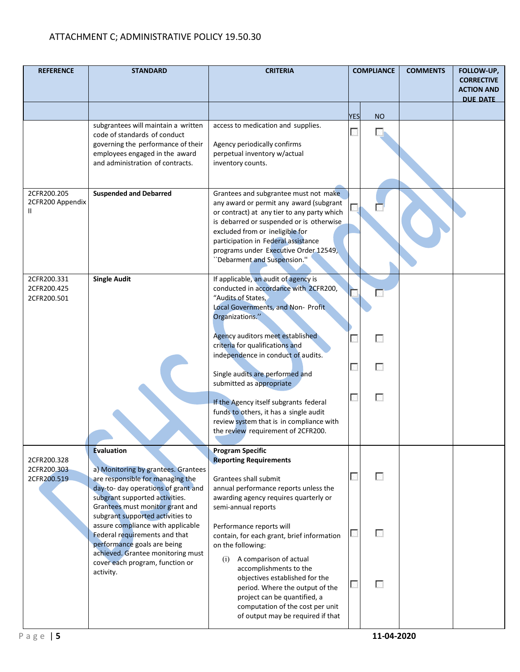| <b>REFERENCE</b>                                | <b>STANDARD</b>                                                                                                                                                                                          | <b>CRITERIA</b>                                                                                                                                                                                                                                                                                                               |            | <b>COMPLIANCE</b> | <b>COMMENTS</b> | FOLLOW-UP,<br><b>CORRECTIVE</b><br><b>ACTION AND</b><br><b>DUE DATE</b> |
|-------------------------------------------------|----------------------------------------------------------------------------------------------------------------------------------------------------------------------------------------------------------|-------------------------------------------------------------------------------------------------------------------------------------------------------------------------------------------------------------------------------------------------------------------------------------------------------------------------------|------------|-------------------|-----------------|-------------------------------------------------------------------------|
|                                                 |                                                                                                                                                                                                          |                                                                                                                                                                                                                                                                                                                               | <b>YES</b> | <b>NO</b>         |                 |                                                                         |
|                                                 | subgrantees will maintain a written<br>code of standards of conduct<br>governing the performance of their<br>employees engaged in the award<br>and administration of contracts.                          | access to medication and supplies.<br>Agency periodically confirms<br>perpetual inventory w/actual<br>inventory counts.                                                                                                                                                                                                       |            | k. I              |                 |                                                                         |
| 2CFR200.205<br>2CFR200 Appendix<br>$\mathbf{H}$ | <b>Suspended and Debarred</b>                                                                                                                                                                            | Grantees and subgrantee must not make<br>any award or permit any award (subgrant<br>or contract) at any tier to any party which<br>is debarred or suspended or is otherwise<br>excluded from or ineligible for<br>participation in Federal assistance<br>programs under Executive Order 12549,<br>"Debarment and Suspension." |            |                   |                 |                                                                         |
| 2CFR200.331<br>2CFR200.425<br>2CFR200.501       | <b>Single Audit</b>                                                                                                                                                                                      | If applicable, an audit of agency is<br>conducted in accordance with 2CFR200,<br>"Audits of States,<br>Local Governments, and Non- Profit<br>Organizations."                                                                                                                                                                  |            |                   |                 |                                                                         |
|                                                 |                                                                                                                                                                                                          | Agency auditors meet established<br>criteria for qualifications and<br>independence in conduct of audits.                                                                                                                                                                                                                     |            | г                 |                 |                                                                         |
|                                                 |                                                                                                                                                                                                          | Single audits are performed and<br>submitted as appropriate                                                                                                                                                                                                                                                                   |            | г                 |                 |                                                                         |
|                                                 |                                                                                                                                                                                                          | If the Agency itself subgrants federal<br>funds to others, it has a single audit<br>review system that is in compliance with<br>the review requirement of 2CFR200.                                                                                                                                                            | г          | г                 |                 |                                                                         |
| 2CFR200.328<br>2CFR200.303<br>2CFR200.519       | <b>Evaluation</b><br>a) Monitoring by grantees. Grantees<br>are responsible for managing the<br>day-to- day operations of grant and<br>subgrant supported activities.<br>Grantees must monitor grant and | <b>Program Specific</b><br><b>Reporting Requirements</b><br>Grantees shall submit<br>annual performance reports unless the<br>awarding agency requires quarterly or<br>semi-annual reports                                                                                                                                    |            | п                 |                 |                                                                         |
|                                                 | subgrant supported activities to<br>assure compliance with applicable<br>Federal requirements and that<br>performance goals are being<br>achieved. Grantee monitoring must                               | Performance reports will<br>contain, for each grant, brief information<br>on the following:                                                                                                                                                                                                                                   |            | п                 |                 |                                                                         |
|                                                 | cover each program, function or<br>activity.                                                                                                                                                             | A comparison of actual<br>(i)<br>accomplishments to the<br>objectives established for the<br>period. Where the output of the<br>project can be quantified, a<br>computation of the cost per unit<br>of output may be required if that                                                                                         |            | п                 |                 |                                                                         |
| Page   $5$                                      |                                                                                                                                                                                                          |                                                                                                                                                                                                                                                                                                                               |            | 11-04-2020        |                 |                                                                         |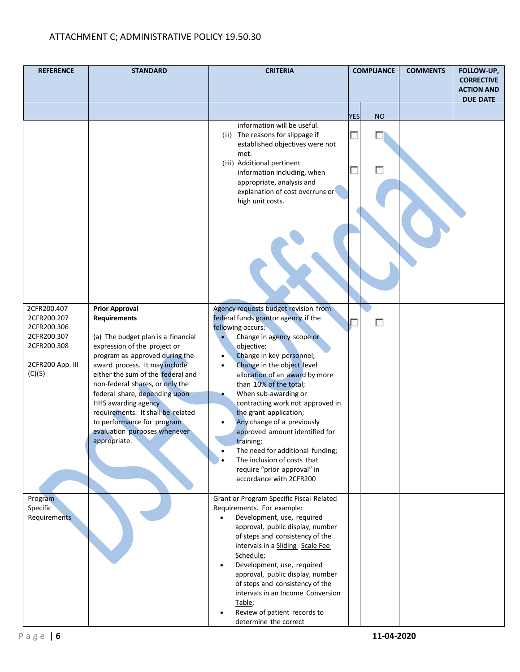| <b>REFERENCE</b>                                                                                      | <b>STANDARD</b>                                                                                                                                                                                                                                                                                                                                                                                                                          | <b>CRITERIA</b>                                                                                                                                                                                                                                                                                                                                                                                                                                                                                                                                                                | <b>COMPLIANCE</b>       | <b>COMMENTS</b> | FOLLOW-UP,<br><b>CORRECTIVE</b><br><b>ACTION AND</b> |
|-------------------------------------------------------------------------------------------------------|------------------------------------------------------------------------------------------------------------------------------------------------------------------------------------------------------------------------------------------------------------------------------------------------------------------------------------------------------------------------------------------------------------------------------------------|--------------------------------------------------------------------------------------------------------------------------------------------------------------------------------------------------------------------------------------------------------------------------------------------------------------------------------------------------------------------------------------------------------------------------------------------------------------------------------------------------------------------------------------------------------------------------------|-------------------------|-----------------|------------------------------------------------------|
|                                                                                                       |                                                                                                                                                                                                                                                                                                                                                                                                                                          |                                                                                                                                                                                                                                                                                                                                                                                                                                                                                                                                                                                |                         |                 | <b>DUE DATE</b>                                      |
|                                                                                                       |                                                                                                                                                                                                                                                                                                                                                                                                                                          |                                                                                                                                                                                                                                                                                                                                                                                                                                                                                                                                                                                | <b>NO</b><br><b>YES</b> |                 |                                                      |
|                                                                                                       |                                                                                                                                                                                                                                                                                                                                                                                                                                          | information will be useful.<br>(ii) The reasons for slippage if<br>established objectives were not<br>met.<br>(iii) Additional pertinent<br>information including, when<br>appropriate, analysis and<br>explanation of cost overruns or<br>high unit costs.                                                                                                                                                                                                                                                                                                                    | П                       |                 |                                                      |
|                                                                                                       |                                                                                                                                                                                                                                                                                                                                                                                                                                          |                                                                                                                                                                                                                                                                                                                                                                                                                                                                                                                                                                                |                         |                 |                                                      |
| 2CFR200.407<br>2CFR200.207<br>2CFR200.306<br>2CFR200.307<br>2CFR200.308<br>2CFR200 App. III<br>(C)(5) | <b>Prior Approval</b><br><b>Requirements</b><br>(a) The budget plan is a financial<br>expression of the project or<br>program as approved during the<br>award process. It may include<br>either the sum of the federal and<br>non-federal shares, or only the<br>federal share, depending upon<br>HHS awarding agency<br>requirements. It shall be related<br>to performance for program<br>evaluation purposes whenever<br>appropriate. | Agency requests budget revision from<br>federal funds grantor agency if the<br>following occurs:<br>Change in agency scope or<br>objective;<br>Change in key personnel;<br>Change in the object level<br>$\bullet$<br>allocation of an award by more<br>than 10% of the total;<br>When sub-awarding or<br>contracting work not approved in<br>the grant application;<br>Any change of a previously<br>approved amount identified for<br>training:<br>The need for additional funding;<br>The inclusion of costs that<br>require "prior approval" in<br>accordance with 2CFR200 | г                       |                 |                                                      |
| Program<br>Specific<br>Requirements                                                                   |                                                                                                                                                                                                                                                                                                                                                                                                                                          | Grant or Program Specific Fiscal Related<br>Requirements. For example:<br>Development, use, required<br>approval, public display, number<br>of steps and consistency of the<br>intervals in a Sliding Scale Fee<br>Schedule;<br>Development, use, required<br>approval, public display, number<br>of steps and consistency of the<br>intervals in an Income Conversion<br>Table;<br>Review of patient records to<br>determine the correct                                                                                                                                      |                         |                 |                                                      |